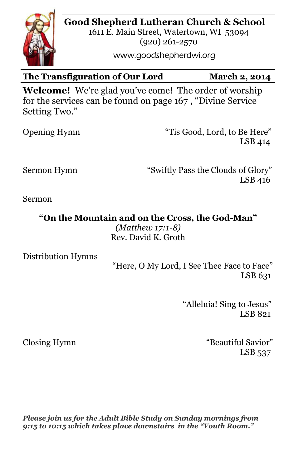# **Good Shepherd Lutheran Church & School**



1611 E. Main Street, Watertown, WI 53094 (920) 261-2570

www.goodshepherdwi.org

# The Transfiguration of Our Lord March 2, 2014

**Welcome!** We're glad you've come! The order of worship for the services can be found on page 167 , "Divine Service Setting Two."

| <b>Opening Hymn</b> |  |
|---------------------|--|
|---------------------|--|

"Tis Good, Lord, to Be Here" LSB 414

Sermon Hymn "Swiftly Pass the Clouds of Glory" LSB 416

Sermon

**"On the Mountain and on the Cross, the God-Man"**

*(Matthew 17:1-8)* Rev. David K. Groth

Distribution Hymns

 "Here, O My Lord, I See Thee Face to Face" LSB 631

> "Alleluia! Sing to Jesus" LSB 821

Closing Hymn "Beautiful Savior" LSB 537

*Please join us for the Adult Bible Study on Sunday mornings from 9:15 to 10:15 which takes place downstairs in the "Youth Room."*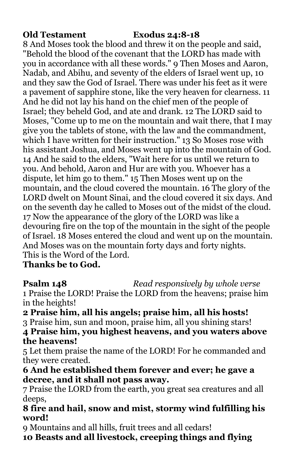### **Old Testament Exodus 24:8-18**

8 And Moses took the blood and threw it on the people and said, "Behold the blood of the covenant that the LORD has made with you in accordance with all these words." 9 Then Moses and Aaron, Nadab, and Abihu, and seventy of the elders of Israel went up, 10 and they saw the God of Israel. There was under his feet as it were a pavement of sapphire stone, like the very heaven for clearness. 11 And he did not lay his hand on the chief men of the people of Israel; they beheld God, and ate and drank. 12 The LORD said to Moses, "Come up to me on the mountain and wait there, that I may give you the tablets of stone, with the law and the commandment, which I have written for their instruction." 13 So Moses rose with his assistant Joshua, and Moses went up into the mountain of God. 14 And he said to the elders, "Wait here for us until we return to you. And behold, Aaron and Hur are with you. Whoever has a dispute, let him go to them." 15 Then Moses went up on the mountain, and the cloud covered the mountain. 16 The glory of the LORD dwelt on Mount Sinai, and the cloud covered it six days. And on the seventh day he called to Moses out of the midst of the cloud. 17 Now the appearance of the glory of the LORD was like a devouring fire on the top of the mountain in the sight of the people of Israel. 18 Moses entered the cloud and went up on the mountain. And Moses was on the mountain forty days and forty nights. This is the Word of the Lord.

# **Thanks be to God.**

**Psalm 148** *Read responsively by whole verse*

1 Praise the LORD! Praise the LORD from the heavens; praise him in the heights!

# **2 Praise him, all his angels; praise him, all his hosts!**

3 Praise him, sun and moon, praise him, all you shining stars!

### **4 Praise him, you highest heavens, and you waters above the heavens!**

5 Let them praise the name of the LORD! For he commanded and they were created.

### **6 And he established them forever and ever; he gave a decree, and it shall not pass away.**

7 Praise the LORD from the earth, you great sea creatures and all deeps,

## **8 fire and hail, snow and mist, stormy wind fulfilling his word!**

9 Mountains and all hills, fruit trees and all cedars!

**10 Beasts and all livestock, creeping things and flying**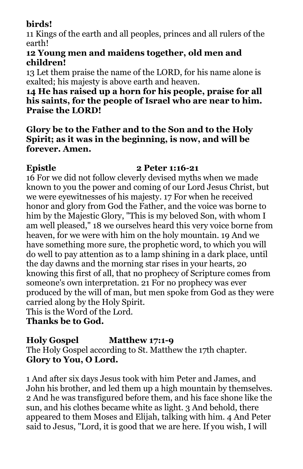# **birds!**

11 Kings of the earth and all peoples, princes and all rulers of the earth!

# **12 Young men and maidens together, old men and children!**

13 Let them praise the name of the LORD, for his name alone is exalted; his majesty is above earth and heaven.

## **14 He has raised up a horn for his people, praise for all his saints, for the people of Israel who are near to him. Praise the LORD!**

## **Glory be to the Father and to the Son and to the Holy Spirit; as it was in the beginning, is now, and will be forever. Amen.**

# **Epistle 2 Peter 1:16-21**

16 For we did not follow cleverly devised myths when we made known to you the power and coming of our Lord Jesus Christ, but we were eyewitnesses of his majesty. 17 For when he received honor and glory from God the Father, and the voice was borne to him by the Majestic Glory, "This is my beloved Son, with whom I am well pleased," 18 we ourselves heard this very voice borne from heaven, for we were with him on the holy mountain. 19 And we have something more sure, the prophetic word, to which you will do well to pay attention as to a lamp shining in a dark place, until the day dawns and the morning star rises in your hearts, 20 knowing this first of all, that no prophecy of Scripture comes from someone's own interpretation. 21 For no prophecy was ever produced by the will of man, but men spoke from God as they were carried along by the Holy Spirit.

This is the Word of the Lord.

**Thanks be to God.**

# **Holy Gospel Matthew 17:1-9**

The Holy Gospel according to St. Matthew the 17th chapter. **Glory to You, O Lord.**

1 And after six days Jesus took with him Peter and James, and John his brother, and led them up a high mountain by themselves. 2 And he was transfigured before them, and his face shone like the sun, and his clothes became white as light. 3 And behold, there appeared to them Moses and Elijah, talking with him. 4 And Peter said to Jesus, "Lord, it is good that we are here. If you wish, I will